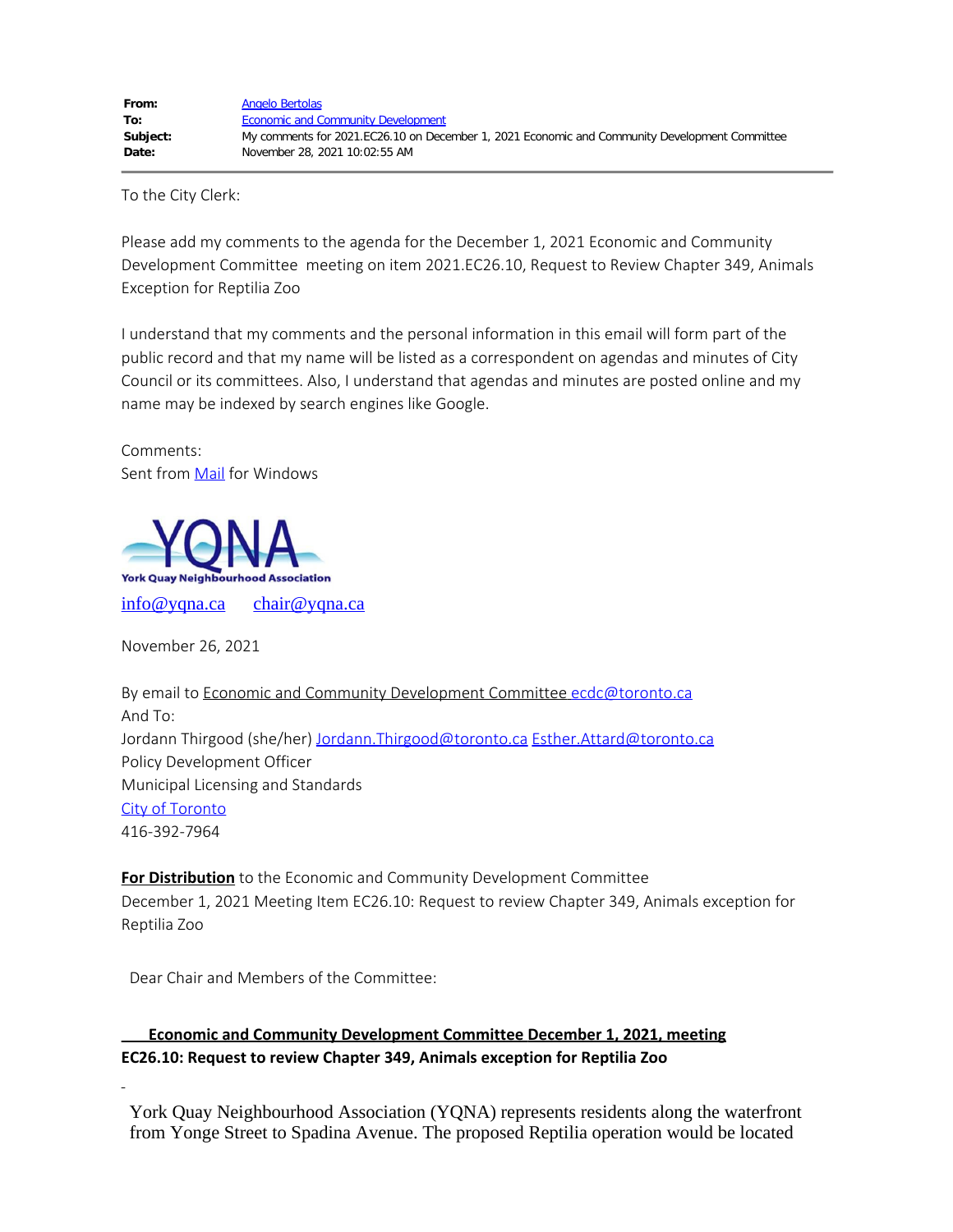To the City Clerk:

Please add my comments to the agenda for the December 1, 2021 Economic and Community Development Committee meeting on item 2021.EC26.10, Request to Review Chapter 349, Animals Exception for Reptilia Zoo

I understand that my comments and the personal information in this email will form part of the public record and that my name will be listed as a correspondent on agendas and minutes of City Council or its committees. Also, I understand that agendas and minutes are posted online and my name may be indexed by search engines like Google.

Comments: Sent from [Mail](https://go.microsoft.com/fwlink/?LinkId=550986) for Windows



November 26, 2021

By email to Economic and Community Development Committee [ecdc@toronto.ca](mailto:ecdc@toronto.ca) And To: Jordann Thirgood (she/her) [Jordann.Thirgood@toronto.ca](mailto:Jordann.Thirgood@toronto.ca) Esther.Attard@toronto.ca Policy Development Officer Municipal Licensing and Standards [City of Toronto](https://na01.safelinks.protection.outlook.com/?url=http%3A%2F%2Fwww.toronto.ca%2F&data=04%7C01%7C%7C4b97ade2a1f04dd18cc908d9af60c0c1%7C84df9e7fe9f640afb435aaaaaaaaaaaa%7C1%7C0%7C637733652343865206%7CUnknown%7CTWFpbGZsb3d8eyJWIjoiMC4wLjAwMDAiLCJQIjoiV2luMzIiLCJBTiI6Ik1haWwiLCJXVCI6Mn0%3D%7C3000&sdata=FXQzpw4wyMmZzdFk%2B%2FTWJkJe4H5cC9LG6je%2BvXuUVoQ%3D&reserved=0) 416-392-7964

**For Distribution** to the Economic and Community Development Committee December 1, 2021 Meeting Item EC26.10: Request to review Chapter 349, Animals exception for Reptilia Zoo

Dear Chair and Members of the Committee:

**<u>Economic and Community Development Committee December 1, 2021, meeting</u> EC26.10: Request to review Chapter 349, Animals exception for Reptilia Zoo** 

 York Quay Neighbourhood Association (YQNA) represents residents along the waterfront from Yonge Street to Spadina Avenue. The proposed Reptilia operation would be located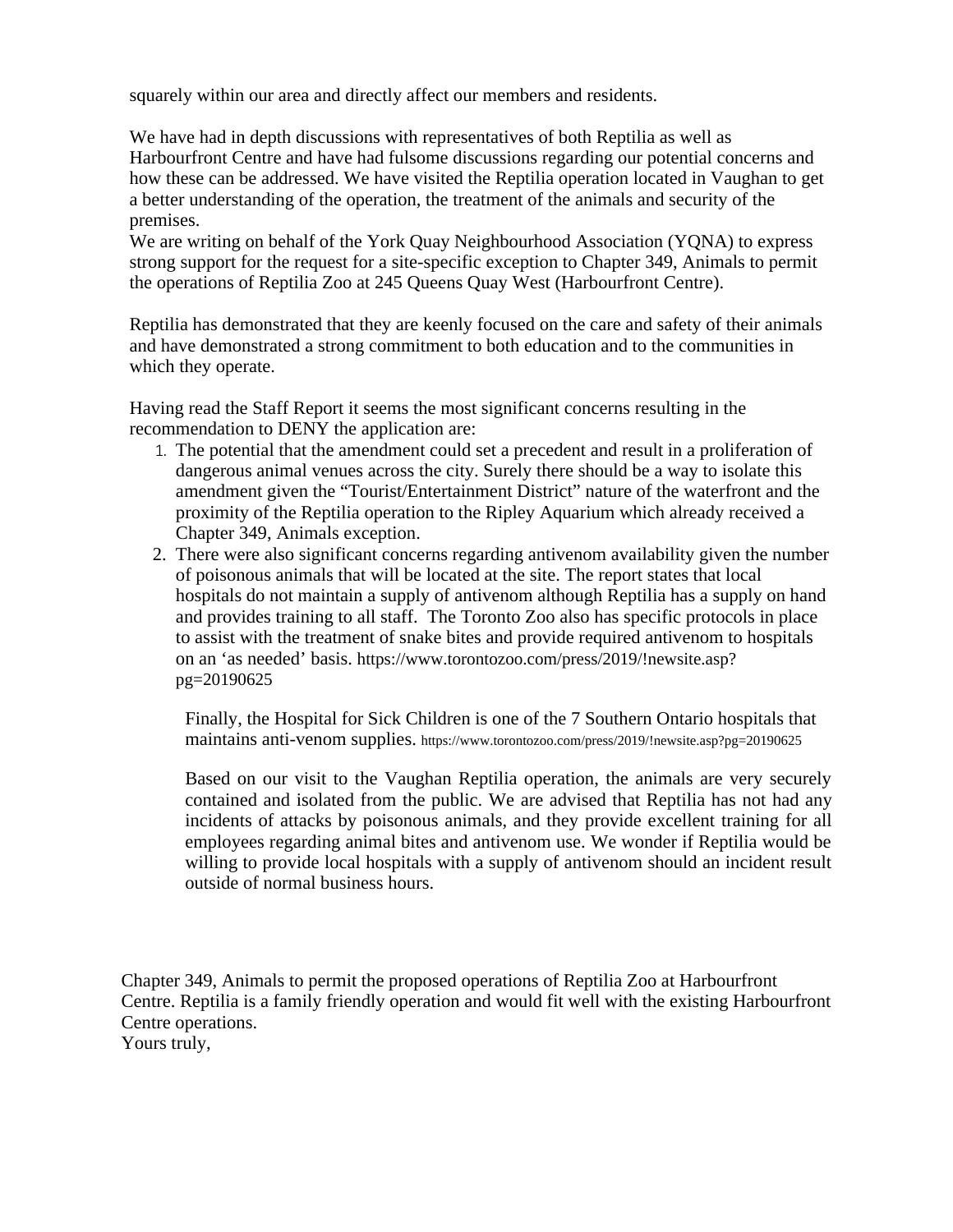squarely within our area and directly affect our members and residents.

 We have had in depth discussions with representatives of both Reptilia as well as Harbourfront Centre and have had fulsome discussions regarding our potential concerns and how these can be addressed. We have visited the Reptilia operation located in Vaughan to get a better understanding of the operation, the treatment of the animals and security of the premises.

 We are writing on behalf of the York Quay Neighbourhood Association (YQNA) to express strong support for the request for a site-specific exception to Chapter 349, Animals to permit the operations of Reptilia Zoo at 245 Queens Quay West (Harbourfront Centre).

 Reptilia has demonstrated that they are keenly focused on the care and safety of their animals and have demonstrated a strong commitment to both education and to the communities in which they operate.

 Having read the Staff Report it seems the most significant concerns resulting in the recommendation to DENY the application are:

- 1. The potential that the amendment could set a precedent and result in a proliferation of dangerous animal venues across the city. Surely there should be a way to isolate this amendment given the "Tourist/Entertainment District" nature of the waterfront and the proximity of the Reptilia operation to the Ripley Aquarium which already received a Chapter 349, Animals exception.
- 2. There were also significant concerns regarding antivenom availability given the number of poisonous animals that will be located at the site. The report states that local hospitals do not maintain a supply of antivenom although Reptilia has a supply on hand and provides training to all staff. The Toronto Zoo also has specific protocols in place to assist with the treatment of snake bites and provide required antivenom to hospitals on an 'as needed' basis. https://www.torontozoo.com/press/2019/!newsite.asp? pg=20190625

 Finally, the Hospital for Sick Children is one of the 7 Southern Ontario hospitals that maintains anti-venom supplies. https://www.torontozoo.com/press/2019/!newsite.asp?pg=20190625

 Based on our visit to the Vaughan Reptilia operation, the animals are very securely contained and isolated from the public. We are advised that Reptilia has not had any incidents of attacks by poisonous animals, and they provide excellent training for all employees regarding animal bites and antivenom use. We wonder if Reptilia would be willing to provide local hospitals with a supply of antivenom should an incident result outside of normal business hours.

 Chapter 349, Animals to permit the proposed operations of Reptilia Zoo at Harbourfront Centre. Reptilia is a family friendly operation and would fit well with the existing Harbourfront Centre operations. Yours truly,